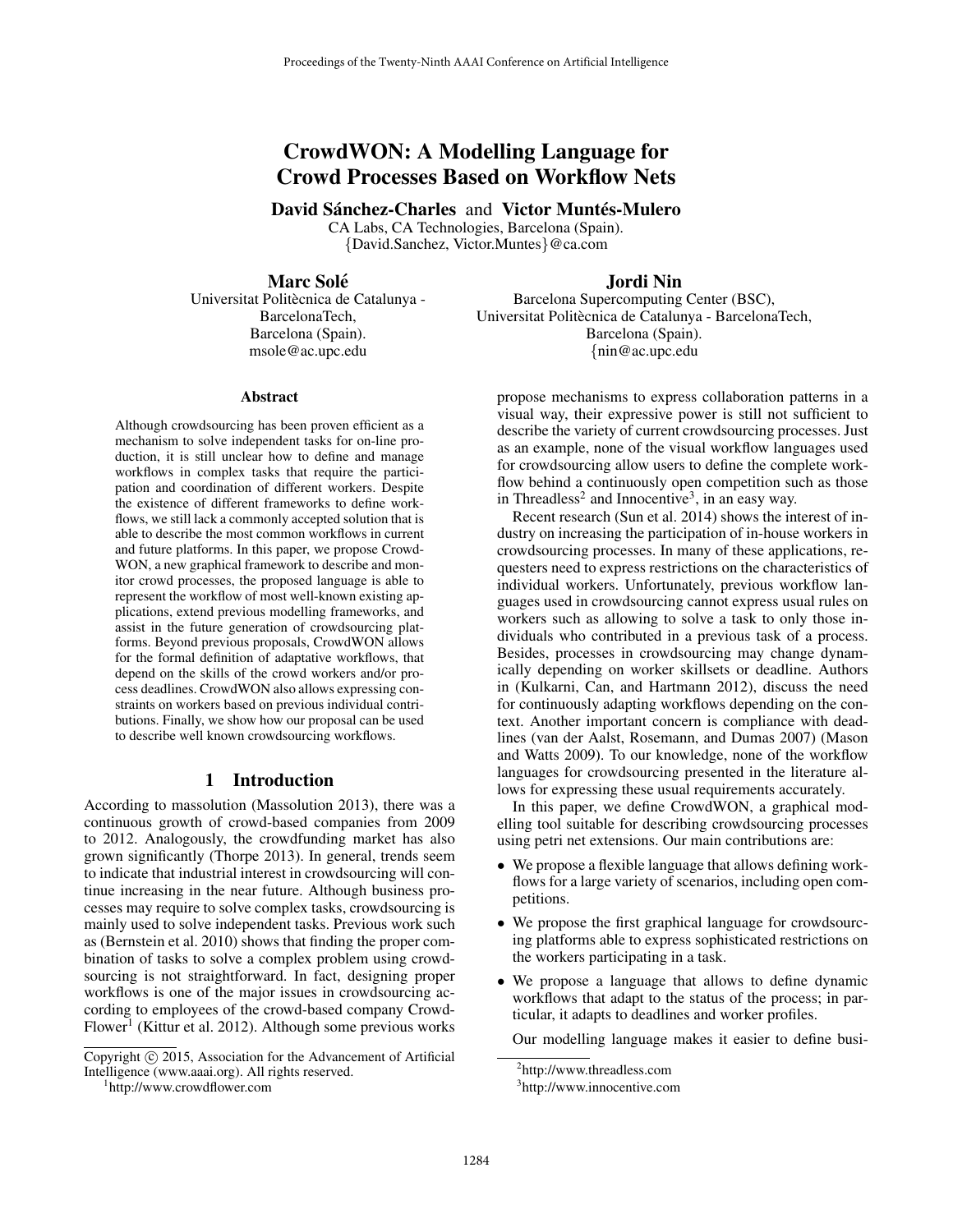# CrowdWON: A Modelling Language for Crowd Processes Based on Workflow Nets

David Sánchez-Charles and Victor Muntés-Mulero

CA Labs, CA Technologies, Barcelona (Spain). {David.Sanchez, Victor.Muntes}@ca.com

# **Marc Solé**

Universitat Politècnica de Catalunya -BarcelonaTech, Barcelona (Spain). msole@ac.upc.edu

# Jordi Nin

Barcelona Supercomputing Center (BSC), Universitat Politècnica de Catalunya - BarcelonaTech, Barcelona (Spain). {nin@ac.upc.edu

#### Abstract

Although crowdsourcing has been proven efficient as a mechanism to solve independent tasks for on-line production, it is still unclear how to define and manage workflows in complex tasks that require the participation and coordination of different workers. Despite the existence of different frameworks to define workflows, we still lack a commonly accepted solution that is able to describe the most common workflows in current and future platforms. In this paper, we propose Crowd-WON, a new graphical framework to describe and monitor crowd processes, the proposed language is able to represent the workflow of most well-known existing applications, extend previous modelling frameworks, and assist in the future generation of crowdsourcing platforms. Beyond previous proposals, CrowdWON allows for the formal definition of adaptative workflows, that depend on the skills of the crowd workers and/or process deadlines. CrowdWON also allows expressing constraints on workers based on previous individual contributions. Finally, we show how our proposal can be used to describe well known crowdsourcing workflows.

### 1 Introduction

According to massolution (Massolution 2013), there was a continuous growth of crowd-based companies from 2009 to 2012. Analogously, the crowdfunding market has also grown significantly (Thorpe 2013). In general, trends seem to indicate that industrial interest in crowdsourcing will continue increasing in the near future. Although business processes may require to solve complex tasks, crowdsourcing is mainly used to solve independent tasks. Previous work such as (Bernstein et al. 2010) shows that finding the proper combination of tasks to solve a complex problem using crowdsourcing is not straightforward. In fact, designing proper workflows is one of the major issues in crowdsourcing according to employees of the crowd-based company Crowd-Flower<sup>1</sup> (Kittur et al. 2012). Although some previous works

Copyright (c) 2015, Association for the Advancement of Artificial Intelligence (www.aaai.org). All rights reserved.

1 http://www.crowdflower.com

propose mechanisms to express collaboration patterns in a visual way, their expressive power is still not sufficient to describe the variety of current crowdsourcing processes. Just as an example, none of the visual workflow languages used for crowdsourcing allow users to define the complete workflow behind a continuously open competition such as those in Threadless<sup>2</sup> and Innocentive<sup>3</sup>, in an easy way.

Recent research (Sun et al. 2014) shows the interest of industry on increasing the participation of in-house workers in crowdsourcing processes. In many of these applications, requesters need to express restrictions on the characteristics of individual workers. Unfortunately, previous workflow languages used in crowdsourcing cannot express usual rules on workers such as allowing to solve a task to only those individuals who contributed in a previous task of a process. Besides, processes in crowdsourcing may change dynamically depending on worker skillsets or deadline. Authors in (Kulkarni, Can, and Hartmann 2012), discuss the need for continuously adapting workflows depending on the context. Another important concern is compliance with deadlines (van der Aalst, Rosemann, and Dumas 2007) (Mason and Watts 2009). To our knowledge, none of the workflow languages for crowdsourcing presented in the literature allows for expressing these usual requirements accurately.

In this paper, we define CrowdWON, a graphical modelling tool suitable for describing crowdsourcing processes using petri net extensions. Our main contributions are:

- We propose a flexible language that allows defining workflows for a large variety of scenarios, including open competitions.
- We propose the first graphical language for crowdsourcing platforms able to express sophisticated restrictions on the workers participating in a task.
- We propose a language that allows to define dynamic workflows that adapt to the status of the process; in particular, it adapts to deadlines and worker profiles.

Our modelling language makes it easier to define busi-

<sup>2</sup> http://www.threadless.com

<sup>3</sup> http://www.innocentive.com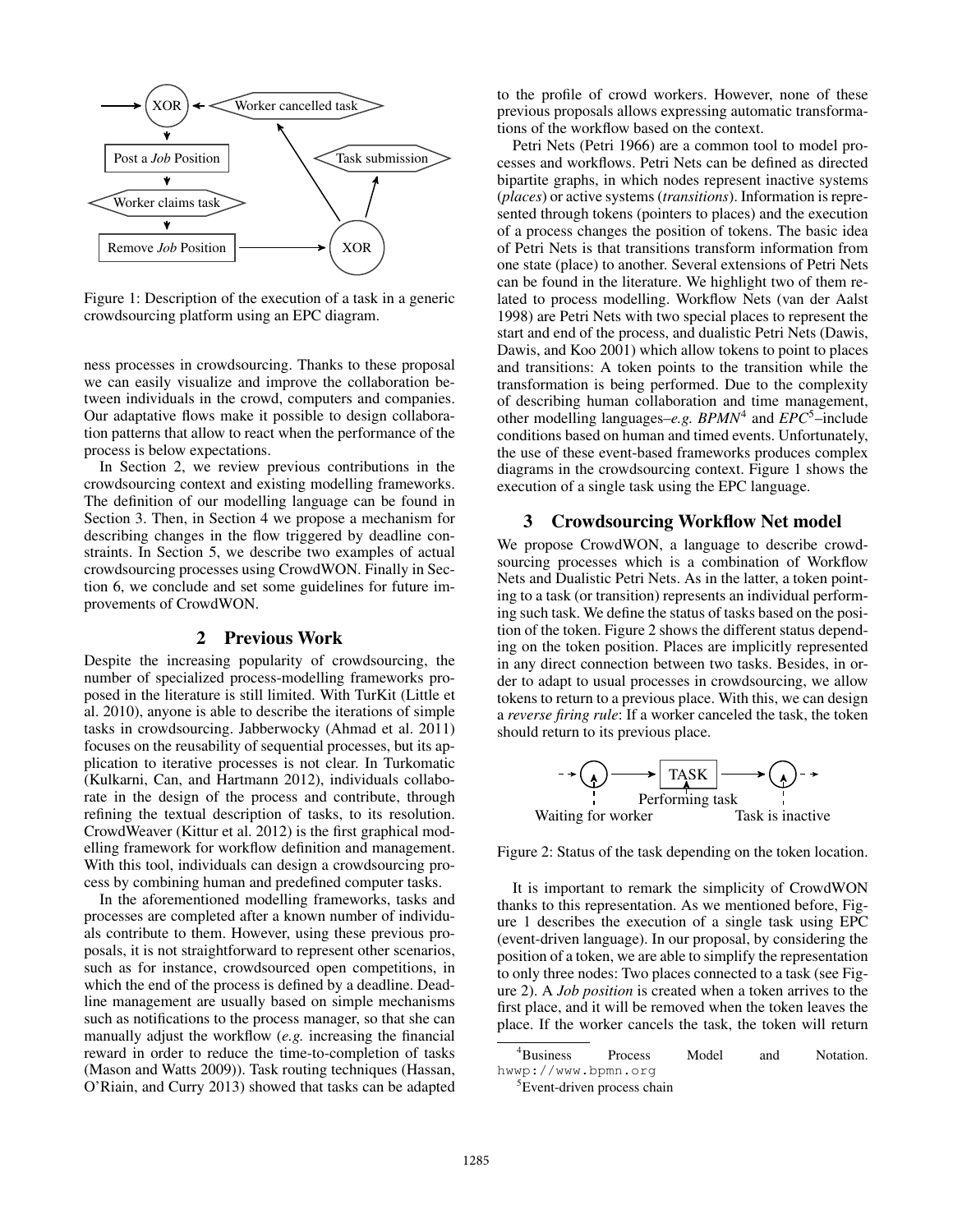

Figure 1: Description of the execution of a task in a generic crowdsourcing platform using an EPC diagram.

ness processes in crowdsourcing. Thanks to these proposal we can easily visualize and improve the collaboration between individuals in the crowd, computers and companies. Our adaptative flows make it possible to design collaboration patterns that allow to react when the performance of the process is below expectations.

In Section 2, we review previous contributions in the crowdsourcing context and existing modelling frameworks. The definition of our modelling language can be found in Section 3. Then, in Section 4 we propose a mechanism for describing changes in the flow triggered by deadline constraints. In Section 5, we describe two examples of actual crowdsourcing processes using CrowdWON. Finally in Section 6, we conclude and set some guidelines for future improvements of CrowdWON.

# 2 Previous Work

Despite the increasing popularity of crowdsourcing, the number of specialized process-modelling frameworks proposed in the literature is still limited. With TurKit (Little et al. 2010), anyone is able to describe the iterations of simple tasks in crowdsourcing. Jabberwocky (Ahmad et al. 2011) focuses on the reusability of sequential processes, but its application to iterative processes is not clear. In Turkomatic (Kulkarni, Can, and Hartmann 2012), individuals collaborate in the design of the process and contribute, through refining the textual description of tasks, to its resolution. CrowdWeaver (Kittur et al. 2012) is the first graphical modelling framework for workflow definition and management. With this tool, individuals can design a crowdsourcing process by combining human and predefined computer tasks.

In the aforementioned modelling frameworks, tasks and processes are completed after a known number of individuals contribute to them. However, using these previous proposals, it is not straightforward to represent other scenarios, such as for instance, crowdsourced open competitions, in which the end of the process is defined by a deadline. Deadline management are usually based on simple mechanisms such as notifications to the process manager, so that she can manually adjust the workflow (*e.g.* increasing the financial reward in order to reduce the time-to-completion of tasks (Mason and Watts 2009)). Task routing techniques (Hassan, O'Riain, and Curry 2013) showed that tasks can be adapted

to the profile of crowd workers. However, none of these previous proposals allows expressing automatic transformations of the workflow based on the context.

Petri Nets (Petri 1966) are a common tool to model processes and workflows. Petri Nets can be defined as directed bipartite graphs, in which nodes represent inactive systems (*places*) or active systems (*transitions*). Information is represented through tokens (pointers to places) and the execution of a process changes the position of tokens. The basic idea of Petri Nets is that transitions transform information from one state (place) to another. Several extensions of Petri Nets can be found in the literature. We highlight two of them related to process modelling. Workflow Nets (van der Aalst 1998) are Petri Nets with two special places to represent the start and end of the process, and dualistic Petri Nets (Dawis, Dawis, and Koo 2001) which allow tokens to point to places and transitions: A token points to the transition while the transformation is being performed. Due to the complexity of describing human collaboration and time management, other modelling languages–*e.g. BPMN*<sup>4</sup> and *EPC*<sup>5</sup>–include conditions based on human and timed events. Unfortunately, the use of these event-based frameworks produces complex diagrams in the crowdsourcing context. Figure 1 shows the execution of a single task using the EPC language.

# 3 Crowdsourcing Workflow Net model

We propose CrowdWON, a language to describe crowdsourcing processes which is a combination of Workflow Nets and Dualistic Petri Nets. As in the latter, a token pointing to a task (or transition) represents an individual performing such task. We define the status of tasks based on the position of the token. Figure 2 shows the different status depending on the token position. Places are implicitly represented in any direct connection between two tasks. Besides, in order to adapt to usual processes in crowdsourcing, we allow tokens to return to a previous place. With this, we can design a *reverse firing rule*: If a worker canceled the task, the token should return to its previous place.



Figure 2: Status of the task depending on the token location.

It is important to remark the simplicity of CrowdWON thanks to this representation. As we mentioned before, Figure 1 describes the execution of a single task using EPC (event-driven language). In our proposal, by considering the position of a token, we are able to simplify the representation to only three nodes: Two places connected to a task (see Figure 2). A *Job position* is created when a token arrives to the first place, and it will be removed when the token leaves the place. If the worker cancels the task, the token will return

<sup>&</sup>lt;sup>4</sup>Business Process Model and Notation. hwwp://www.bpmn.org

<sup>&</sup>lt;sup>5</sup>Event-driven process chain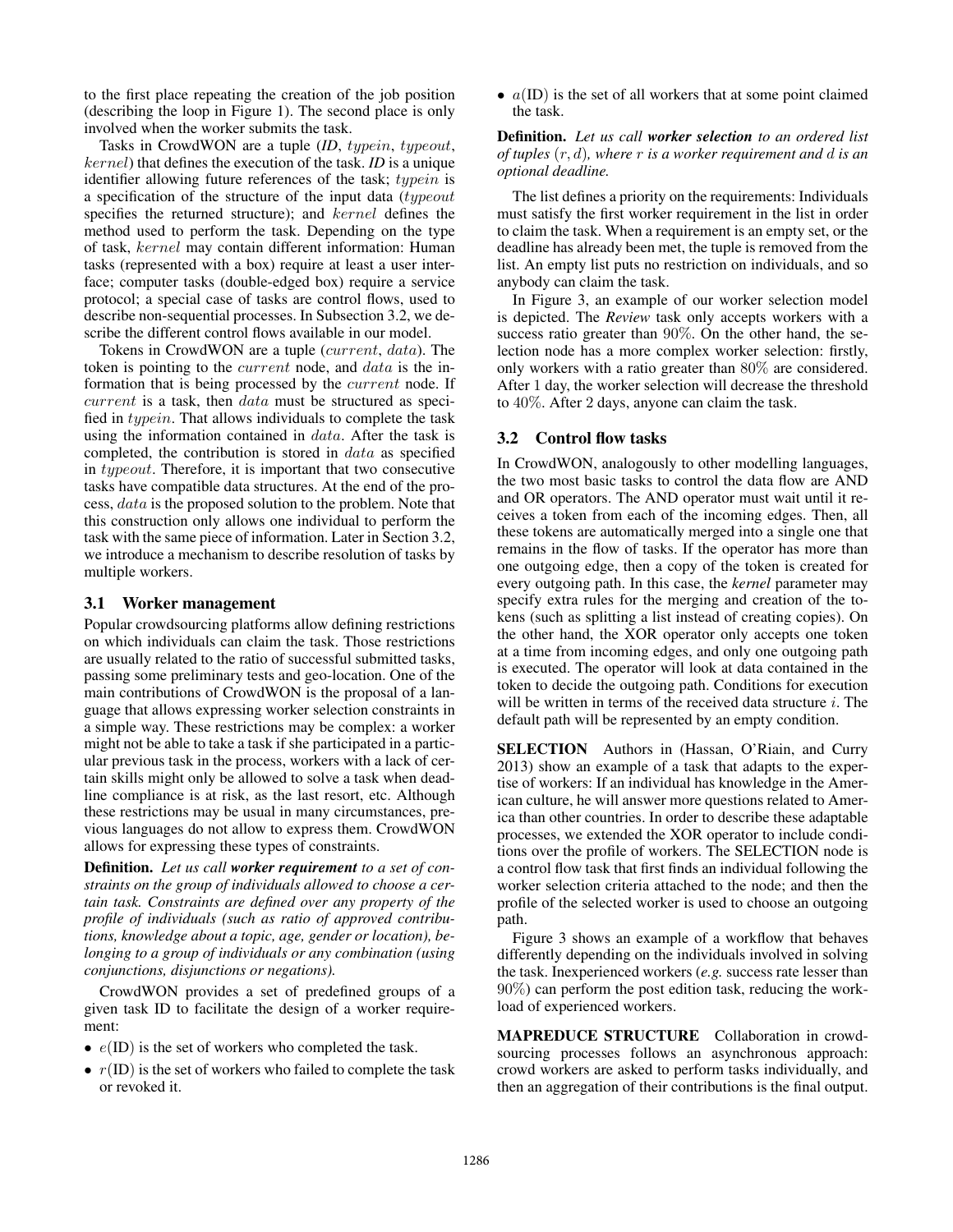to the first place repeating the creation of the job position (describing the loop in Figure 1). The second place is only involved when the worker submits the task.

Tasks in CrowdWON are a tuple (*ID*, typein, typeout, kernel) that defines the execution of the task. *ID* is a unique identifier allowing future references of the task; typein is a specification of the structure of the input data (typeout specifies the returned structure); and kernel defines the method used to perform the task. Depending on the type of task, kernel may contain different information: Human tasks (represented with a box) require at least a user interface; computer tasks (double-edged box) require a service protocol; a special case of tasks are control flows, used to describe non-sequential processes. In Subsection 3.2, we describe the different control flows available in our model.

Tokens in CrowdWON are a tuple (current, data). The token is pointing to the *current* node, and *data* is the information that is being processed by the current node. If current is a task, then data must be structured as specified in typein. That allows individuals to complete the task using the information contained in *data*. After the task is completed, the contribution is stored in data as specified in typeout. Therefore, it is important that two consecutive tasks have compatible data structures. At the end of the process, data is the proposed solution to the problem. Note that this construction only allows one individual to perform the task with the same piece of information. Later in Section 3.2, we introduce a mechanism to describe resolution of tasks by multiple workers.

## 3.1 Worker management

Popular crowdsourcing platforms allow defining restrictions on which individuals can claim the task. Those restrictions are usually related to the ratio of successful submitted tasks, passing some preliminary tests and geo-location. One of the main contributions of CrowdWON is the proposal of a language that allows expressing worker selection constraints in a simple way. These restrictions may be complex: a worker might not be able to take a task if she participated in a particular previous task in the process, workers with a lack of certain skills might only be allowed to solve a task when deadline compliance is at risk, as the last resort, etc. Although these restrictions may be usual in many circumstances, previous languages do not allow to express them. CrowdWON allows for expressing these types of constraints.

Definition. *Let us call worker requirement to a set of constraints on the group of individuals allowed to choose a certain task. Constraints are defined over any property of the profile of individuals (such as ratio of approved contributions, knowledge about a topic, age, gender or location), belonging to a group of individuals or any combination (using conjunctions, disjunctions or negations).*

CrowdWON provides a set of predefined groups of a given task ID to facilitate the design of a worker requirement:

- $e(ID)$  is the set of workers who completed the task.
- $r(ID)$  is the set of workers who failed to complete the task or revoked it.

•  $a(ID)$  is the set of all workers that at some point claimed the task.

Definition. *Let us call worker selection to an ordered list of tuples* (r, d)*, where* r *is a worker requirement and* d *is an optional deadline.*

The list defines a priority on the requirements: Individuals must satisfy the first worker requirement in the list in order to claim the task. When a requirement is an empty set, or the deadline has already been met, the tuple is removed from the list. An empty list puts no restriction on individuals, and so anybody can claim the task.

In Figure 3, an example of our worker selection model is depicted. The *Review* task only accepts workers with a success ratio greater than 90%. On the other hand, the selection node has a more complex worker selection: firstly, only workers with a ratio greater than 80% are considered. After 1 day, the worker selection will decrease the threshold to 40%. After 2 days, anyone can claim the task.

# 3.2 Control flow tasks

In CrowdWON, analogously to other modelling languages, the two most basic tasks to control the data flow are AND and OR operators. The AND operator must wait until it receives a token from each of the incoming edges. Then, all these tokens are automatically merged into a single one that remains in the flow of tasks. If the operator has more than one outgoing edge, then a copy of the token is created for every outgoing path. In this case, the *kernel* parameter may specify extra rules for the merging and creation of the tokens (such as splitting a list instead of creating copies). On the other hand, the XOR operator only accepts one token at a time from incoming edges, and only one outgoing path is executed. The operator will look at data contained in the token to decide the outgoing path. Conditions for execution will be written in terms of the received data structure  $i$ . The default path will be represented by an empty condition.

SELECTION Authors in (Hassan, O'Riain, and Curry 2013) show an example of a task that adapts to the expertise of workers: If an individual has knowledge in the American culture, he will answer more questions related to America than other countries. In order to describe these adaptable processes, we extended the XOR operator to include conditions over the profile of workers. The SELECTION node is a control flow task that first finds an individual following the worker selection criteria attached to the node; and then the profile of the selected worker is used to choose an outgoing path.

Figure 3 shows an example of a workflow that behaves differently depending on the individuals involved in solving the task. Inexperienced workers (*e.g.* success rate lesser than 90%) can perform the post edition task, reducing the workload of experienced workers.

MAPREDUCE STRUCTURE Collaboration in crowdsourcing processes follows an asynchronous approach: crowd workers are asked to perform tasks individually, and then an aggregation of their contributions is the final output.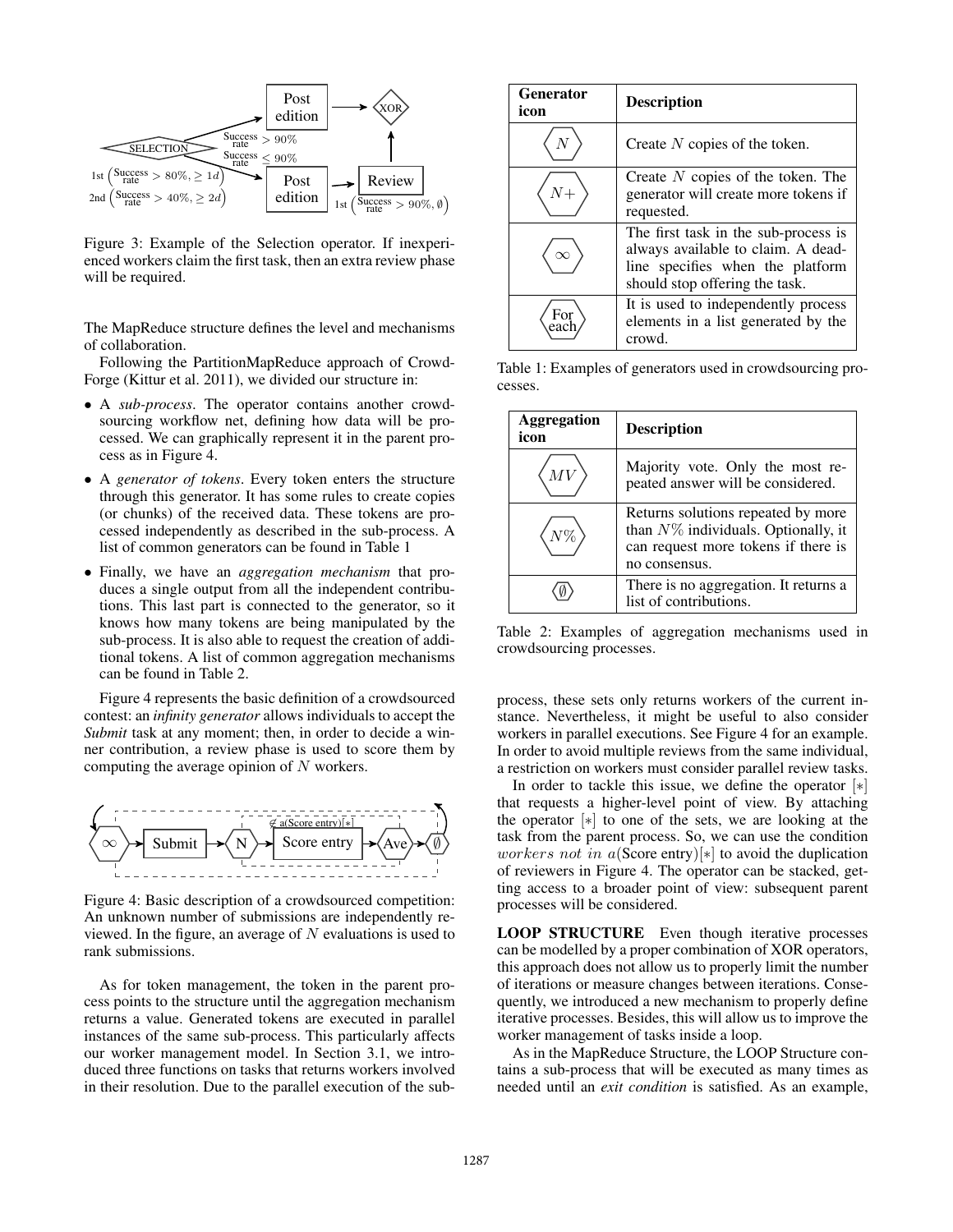

Figure 3: Example of the Selection operator. If inexperienced workers claim the first task, then an extra review phase will be required.

The MapReduce structure defines the level and mechanisms of collaboration.

Following the PartitionMapReduce approach of Crowd-Forge (Kittur et al. 2011), we divided our structure in:

- A *sub-process*. The operator contains another crowdsourcing workflow net, defining how data will be processed. We can graphically represent it in the parent process as in Figure 4.
- A *generator of tokens*. Every token enters the structure through this generator. It has some rules to create copies (or chunks) of the received data. These tokens are processed independently as described in the sub-process. A list of common generators can be found in Table 1
- Finally, we have an *aggregation mechanism* that produces a single output from all the independent contributions. This last part is connected to the generator, so it knows how many tokens are being manipulated by the sub-process. It is also able to request the creation of additional tokens. A list of common aggregation mechanisms can be found in Table 2.

Figure 4 represents the basic definition of a crowdsourced contest: an *infinity generator* allows individuals to accept the *Submit* task at any moment; then, in order to decide a winner contribution, a review phase is used to score them by computing the average opinion of  $N$  workers.



Figure 4: Basic description of a crowdsourced competition: An unknown number of submissions are independently reviewed. In the figure, an average of  $N$  evaluations is used to rank submissions.

As for token management, the token in the parent process points to the structure until the aggregation mechanism returns a value. Generated tokens are executed in parallel instances of the same sub-process. This particularly affects our worker management model. In Section 3.1, we introduced three functions on tasks that returns workers involved in their resolution. Due to the parallel execution of the sub-

| <b>Generator</b><br>icon | <b>Description</b>                                                                                                                               |
|--------------------------|--------------------------------------------------------------------------------------------------------------------------------------------------|
|                          | Create $N$ copies of the token.                                                                                                                  |
|                          | Create $N$ copies of the token. The<br>generator will create more tokens if<br>requested.                                                        |
|                          | The first task in the sub-process is<br>always available to claim. A dead-<br>line specifies when the platform<br>should stop offering the task. |
|                          | It is used to independently process<br>elements in a list generated by the<br>crowd                                                              |

Table 1: Examples of generators used in crowdsourcing processes.

| Aggregation<br>icon | <b>Description</b>                                                                                                                   |
|---------------------|--------------------------------------------------------------------------------------------------------------------------------------|
|                     | Majority vote. Only the most re-<br>peated answer will be considered.                                                                |
|                     | Returns solutions repeated by more<br>than $N\%$ individuals. Optionally, it<br>can request more tokens if there is<br>no consensus. |
|                     | There is no aggregation. It returns a<br>list of contributions.                                                                      |

Table 2: Examples of aggregation mechanisms used in crowdsourcing processes.

process, these sets only returns workers of the current instance. Nevertheless, it might be useful to also consider workers in parallel executions. See Figure 4 for an example. In order to avoid multiple reviews from the same individual, a restriction on workers must consider parallel review tasks.

In order to tackle this issue, we define the operator  $[*]$ that requests a higher-level point of view. By attaching the operator [∗] to one of the sets, we are looking at the task from the parent process. So, we can use the condition *workers not in a*(Score entry)[ $*$ ] to avoid the duplication of reviewers in Figure 4. The operator can be stacked, getting access to a broader point of view: subsequent parent processes will be considered.

LOOP STRUCTURE Even though iterative processes can be modelled by a proper combination of XOR operators, this approach does not allow us to properly limit the number of iterations or measure changes between iterations. Consequently, we introduced a new mechanism to properly define iterative processes. Besides, this will allow us to improve the worker management of tasks inside a loop.

As in the MapReduce Structure, the LOOP Structure contains a sub-process that will be executed as many times as needed until an *exit condition* is satisfied. As an example,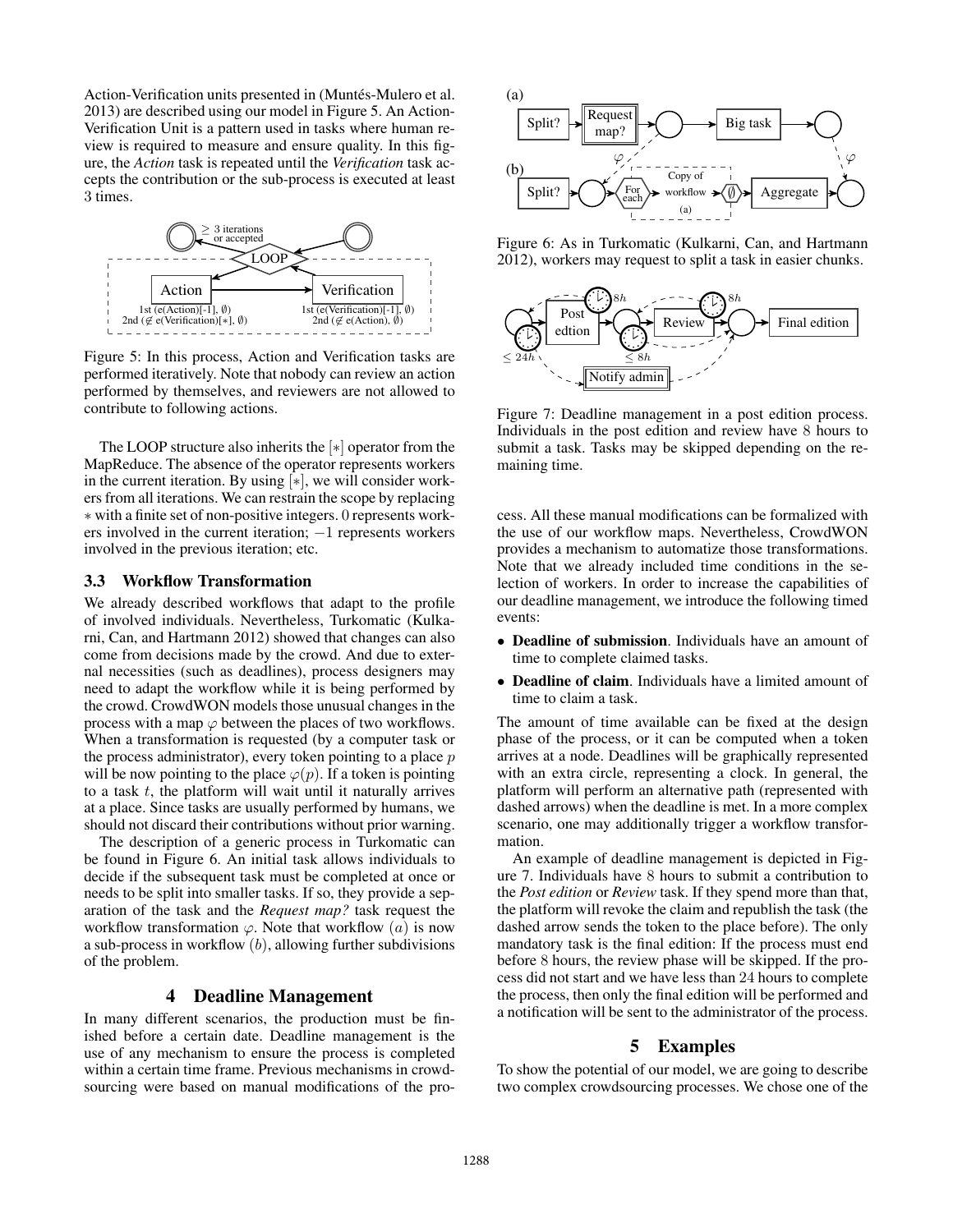Action-Verification units presented in (Muntés-Mulero et al. 2013) are described using our model in Figure 5. An Action-Verification Unit is a pattern used in tasks where human review is required to measure and ensure quality. In this figure, the *Action* task is repeated until the *Verification* task accepts the contribution or the sub-process is executed at least 3 times.



Figure 5: In this process, Action and Verification tasks are performed iteratively. Note that nobody can review an action performed by themselves, and reviewers are not allowed to contribute to following actions.

The LOOP structure also inherits the [∗] operator from the MapReduce. The absence of the operator represents workers in the current iteration. By using [∗], we will consider workers from all iterations. We can restrain the scope by replacing ∗ with a finite set of non-positive integers. 0 represents workers involved in the current iteration; −1 represents workers involved in the previous iteration; etc.

#### 3.3 Workflow Transformation

We already described workflows that adapt to the profile of involved individuals. Nevertheless, Turkomatic (Kulkarni, Can, and Hartmann 2012) showed that changes can also come from decisions made by the crowd. And due to external necessities (such as deadlines), process designers may need to adapt the workflow while it is being performed by the crowd. CrowdWON models those unusual changes in the process with a map  $\varphi$  between the places of two workflows. When a transformation is requested (by a computer task or the process administrator), every token pointing to a place  $p$ will be now pointing to the place  $\varphi(p)$ . If a token is pointing to a task  $t$ , the platform will wait until it naturally arrives at a place. Since tasks are usually performed by humans, we should not discard their contributions without prior warning.

The description of a generic process in Turkomatic can be found in Figure 6. An initial task allows individuals to decide if the subsequent task must be completed at once or needs to be split into smaller tasks. If so, they provide a separation of the task and the *Request map?* task request the workflow transformation  $\varphi$ . Note that workflow  $(a)$  is now a sub-process in workflow  $(b)$ , allowing further subdivisions of the problem.

## 4 Deadline Management

In many different scenarios, the production must be finished before a certain date. Deadline management is the use of any mechanism to ensure the process is completed within a certain time frame. Previous mechanisms in crowdsourcing were based on manual modifications of the pro-



Figure 6: As in Turkomatic (Kulkarni, Can, and Hartmann 2012), workers may request to split a task in easier chunks.



Figure 7: Deadline management in a post edition process. Individuals in the post edition and review have 8 hours to submit a task. Tasks may be skipped depending on the remaining time.

cess. All these manual modifications can be formalized with the use of our workflow maps. Nevertheless, CrowdWON provides a mechanism to automatize those transformations. Note that we already included time conditions in the selection of workers. In order to increase the capabilities of our deadline management, we introduce the following timed events:

- Deadline of submission. Individuals have an amount of time to complete claimed tasks.
- Deadline of claim. Individuals have a limited amount of time to claim a task.

The amount of time available can be fixed at the design phase of the process, or it can be computed when a token arrives at a node. Deadlines will be graphically represented with an extra circle, representing a clock. In general, the platform will perform an alternative path (represented with dashed arrows) when the deadline is met. In a more complex scenario, one may additionally trigger a workflow transformation.

An example of deadline management is depicted in Figure 7. Individuals have 8 hours to submit a contribution to the *Post edition* or *Review* task. If they spend more than that, the platform will revoke the claim and republish the task (the dashed arrow sends the token to the place before). The only mandatory task is the final edition: If the process must end before 8 hours, the review phase will be skipped. If the process did not start and we have less than 24 hours to complete the process, then only the final edition will be performed and a notification will be sent to the administrator of the process.

## 5 Examples

To show the potential of our model, we are going to describe two complex crowdsourcing processes. We chose one of the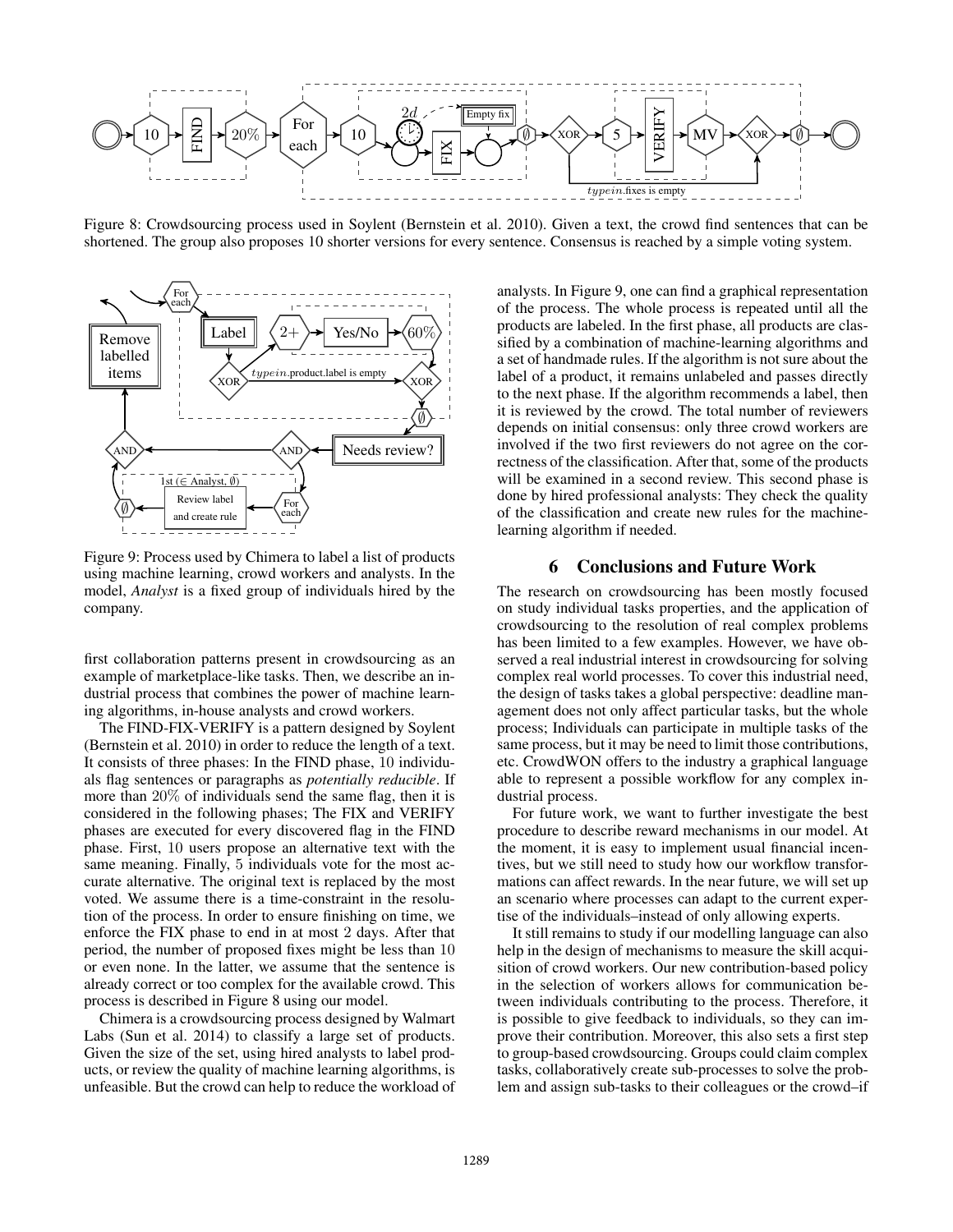

Figure 8: Crowdsourcing process used in Soylent (Bernstein et al. 2010). Given a text, the crowd find sentences that can be shortened. The group also proposes 10 shorter versions for every sentence. Consensus is reached by a simple voting system.



Figure 9: Process used by Chimera to label a list of products using machine learning, crowd workers and analysts. In the model, *Analyst* is a fixed group of individuals hired by the company.

first collaboration patterns present in crowdsourcing as an example of marketplace-like tasks. Then, we describe an industrial process that combines the power of machine learning algorithms, in-house analysts and crowd workers.

The FIND-FIX-VERIFY is a pattern designed by Soylent (Bernstein et al. 2010) in order to reduce the length of a text. It consists of three phases: In the FIND phase, 10 individuals flag sentences or paragraphs as *potentially reducible*. If more than 20% of individuals send the same flag, then it is considered in the following phases; The FIX and VERIFY phases are executed for every discovered flag in the FIND phase. First, 10 users propose an alternative text with the same meaning. Finally, 5 individuals vote for the most accurate alternative. The original text is replaced by the most voted. We assume there is a time-constraint in the resolution of the process. In order to ensure finishing on time, we enforce the FIX phase to end in at most 2 days. After that period, the number of proposed fixes might be less than 10 or even none. In the latter, we assume that the sentence is already correct or too complex for the available crowd. This process is described in Figure 8 using our model.

Chimera is a crowdsourcing process designed by Walmart Labs (Sun et al. 2014) to classify a large set of products. Given the size of the set, using hired analysts to label products, or review the quality of machine learning algorithms, is unfeasible. But the crowd can help to reduce the workload of

analysts. In Figure 9, one can find a graphical representation of the process. The whole process is repeated until all the products are labeled. In the first phase, all products are classified by a combination of machine-learning algorithms and a set of handmade rules. If the algorithm is not sure about the label of a product, it remains unlabeled and passes directly to the next phase. If the algorithm recommends a label, then it is reviewed by the crowd. The total number of reviewers depends on initial consensus: only three crowd workers are involved if the two first reviewers do not agree on the correctness of the classification. After that, some of the products will be examined in a second review. This second phase is done by hired professional analysts: They check the quality of the classification and create new rules for the machinelearning algorithm if needed.

## 6 Conclusions and Future Work

The research on crowdsourcing has been mostly focused on study individual tasks properties, and the application of crowdsourcing to the resolution of real complex problems has been limited to a few examples. However, we have observed a real industrial interest in crowdsourcing for solving complex real world processes. To cover this industrial need, the design of tasks takes a global perspective: deadline management does not only affect particular tasks, but the whole process; Individuals can participate in multiple tasks of the same process, but it may be need to limit those contributions, etc. CrowdWON offers to the industry a graphical language able to represent a possible workflow for any complex industrial process.

For future work, we want to further investigate the best procedure to describe reward mechanisms in our model. At the moment, it is easy to implement usual financial incentives, but we still need to study how our workflow transformations can affect rewards. In the near future, we will set up an scenario where processes can adapt to the current expertise of the individuals–instead of only allowing experts.

It still remains to study if our modelling language can also help in the design of mechanisms to measure the skill acquisition of crowd workers. Our new contribution-based policy in the selection of workers allows for communication between individuals contributing to the process. Therefore, it is possible to give feedback to individuals, so they can improve their contribution. Moreover, this also sets a first step to group-based crowdsourcing. Groups could claim complex tasks, collaboratively create sub-processes to solve the problem and assign sub-tasks to their colleagues or the crowd–if